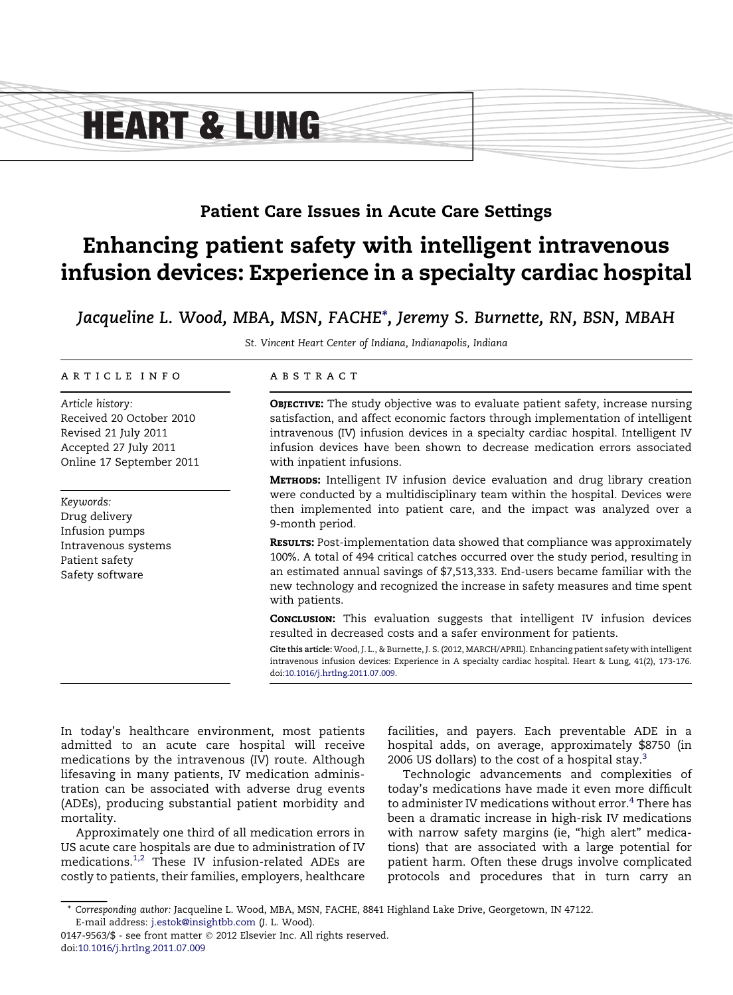# **HEART & LUNG**

### Patient Care Issues in Acute Care Settings

## Enhancing patient safety with intelligent intravenous infusion devices: Experience in a specialty cardiac hospital

Jacqueline L. Wood, MBA, MSN, FACHE\*, Jeremy S. Burnette, RN, BSN, MBAH

St. Vincent Heart Center of Indiana, Indianapolis, Indiana

#### article info

Article history: Received 20 October 2010 Revised 21 July 2011 Accepted 27 July 2011 Online 17 September 2011

Keywords: Drug delivery Infusion pumps Intravenous systems Patient safety Safety software

#### abstract

**OBJECTIVE:** The study objective was to evaluate patient safety, increase nursing satisfaction, and affect economic factors through implementation of intelligent intravenous (IV) infusion devices in a specialty cardiac hospital. Intelligent IV infusion devices have been shown to decrease medication errors associated with inpatient infusions.

**METHODS:** Intelligent IV infusion device evaluation and drug library creation were conducted by a multidisciplinary team within the hospital. Devices were then implemented into patient care, and the impact was analyzed over a 9-month period.

RESULTS: Post-implementation data showed that compliance was approximately 100%. A total of 494 critical catches occurred over the study period, resulting in an estimated annual savings of \$7,513,333. End-users became familiar with the new technology and recognized the increase in safety measures and time spent with patients.

**CONCLUSION:** This evaluation suggests that intelligent IV infusion devices resulted in decreased costs and a safer environment for patients.

Cite this article: Wood, J. L., & Burnette, J. S. (2012, MARCH/APRIL). Enhancing patient safety with intelligent intravenous infusion devices: Experience in A specialty cardiac hospital. Heart & Lung, 41(2), 173-176. doi:[10.1016/j.hrtlng.2011.07.009](http://dx.doi.org/10.1016/j.hrtlng.2011.07.009).

In today's healthcare environment, most patients admitted to an acute care hospital will receive medications by the intravenous (IV) route. Although lifesaving in many patients, IV medication administration can be associated with adverse drug events (ADEs), producing substantial patient morbidity and mortality.

Approximately one third of all medication errors in US acute care hospitals are due to administration of IV medications[.1,2](#page-3-0) These IV infusion-related ADEs are costly to patients, their families, employers, healthcare

facilities, and payers. Each preventable ADE in a hospital adds, on average, approximately \$8750 (in 2006 US dollars) to the cost of a hospital stay. $3$ 

Technologic advancements and complexities of today's medications have made it even more difficult to administer IV medications without error. $\rm ^4$  $\rm ^4$  There has been a dramatic increase in high-risk IV medications with narrow safety margins (ie, "high alert" medications) that are associated with a large potential for patient harm. Often these drugs involve complicated protocols and procedures that in turn carry an

<sup>\*</sup> Corresponding author: Jacqueline L. Wood, MBA, MSN, FACHE, 8841 Highland Lake Drive, Georgetown, IN 47122. E-mail address: [j.estok@insightbb.com](mailto:j.estok@insightbb.com) (J. L. Wood).

<sup>0147-9563/\$ -</sup> see front matter © 2012 Elsevier Inc. All rights reserved. doi[:10.1016/j.hrtlng.2011.07.009](http://dx.doi.org/10.1016/j.hrtlng.2011.07.009)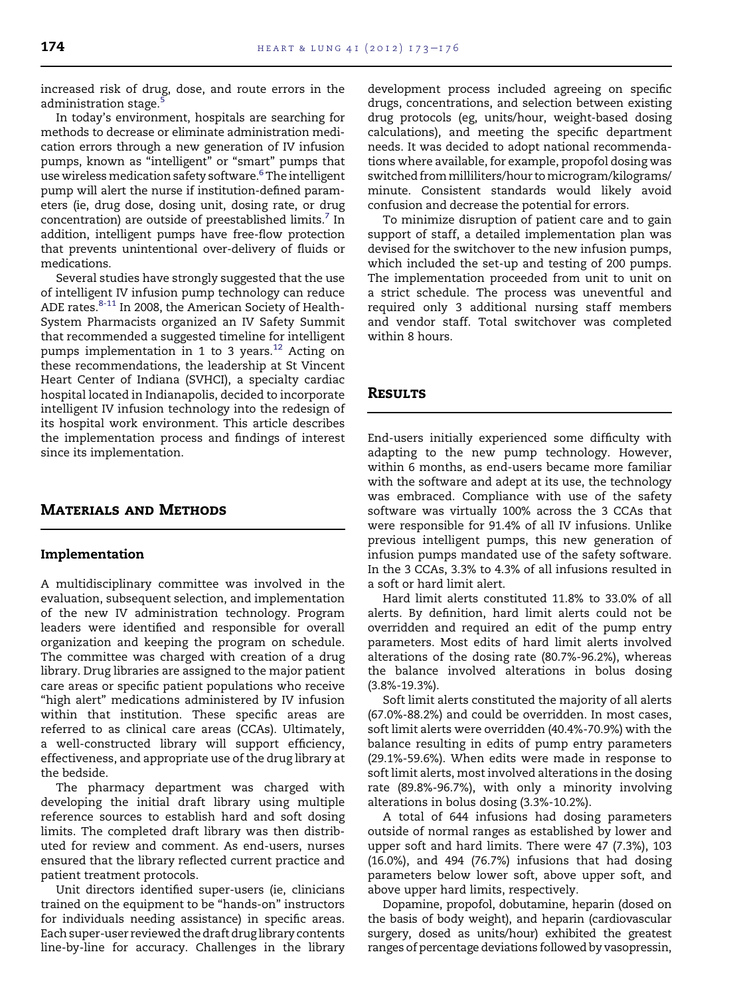increased risk of drug, dose, and route errors in the administration stage.

In today's environment, hospitals are searching for methods to decrease or eliminate administration medication errors through a new generation of IV infusion pumps, known as "intelligent" or "smart" pumps that use wireless medication safety software. $^6$  $^6$  The intelligent pump will alert the nurse if institution-defined parameters (ie, drug dose, dosing unit, dosing rate, or drug concentration) are outside of preestablished limits.<sup>7</sup> In addition, intelligent pumps have free-flow protection that prevents unintentional over-delivery of fluids or medications.

Several studies have strongly suggested that the use of intelligent IV infusion pump technology can reduce ADE rates.<sup>[8-11](#page-3-0)</sup> In 2008, the American Society of Health-System Pharmacists organized an IV Safety Summit that recommended a suggested timeline for intelligent pumps implementation in 1 to 3 years.<sup>[12](#page-3-0)</sup> Acting on these recommendations, the leadership at St Vincent Heart Center of Indiana (SVHCI), a specialty cardiac hospital located in Indianapolis, decided to incorporate intelligent IV infusion technology into the redesign of its hospital work environment. This article describes the implementation process and findings of interest since its implementation.

#### Materials and Methods

#### Implementation

A multidisciplinary committee was involved in the evaluation, subsequent selection, and implementation of the new IV administration technology. Program leaders were identified and responsible for overall organization and keeping the program on schedule. The committee was charged with creation of a drug library. Drug libraries are assigned to the major patient care areas or specific patient populations who receive "high alert" medications administered by IV infusion within that institution. These specific areas are referred to as clinical care areas (CCAs). Ultimately, a well-constructed library will support efficiency, effectiveness, and appropriate use of the drug library at the bedside.

The pharmacy department was charged with developing the initial draft library using multiple reference sources to establish hard and soft dosing limits. The completed draft library was then distributed for review and comment. As end-users, nurses ensured that the library reflected current practice and patient treatment protocols.

Unit directors identified super-users (ie, clinicians trained on the equipment to be "hands-on" instructors for individuals needing assistance) in specific areas. Each super-user reviewed the draft drug library contents line-by-line for accuracy. Challenges in the library

development process included agreeing on specific drugs, concentrations, and selection between existing drug protocols (eg, units/hour, weight-based dosing calculations), and meeting the specific department needs. It was decided to adopt national recommendations where available, for example, propofol dosing was switched frommilliliters/hour tomicrogram/kilograms/ minute. Consistent standards would likely avoid confusion and decrease the potential for errors.

To minimize disruption of patient care and to gain support of staff, a detailed implementation plan was devised for the switchover to the new infusion pumps, which included the set-up and testing of 200 pumps. The implementation proceeded from unit to unit on a strict schedule. The process was uneventful and required only 3 additional nursing staff members and vendor staff. Total switchover was completed within 8 hours.

#### **RESULTS**

End-users initially experienced some difficulty with adapting to the new pump technology. However, within 6 months, as end-users became more familiar with the software and adept at its use, the technology was embraced. Compliance with use of the safety software was virtually 100% across the 3 CCAs that were responsible for 91.4% of all IV infusions. Unlike previous intelligent pumps, this new generation of infusion pumps mandated use of the safety software. In the 3 CCAs, 3.3% to 4.3% of all infusions resulted in a soft or hard limit alert.

Hard limit alerts constituted 11.8% to 33.0% of all alerts. By definition, hard limit alerts could not be overridden and required an edit of the pump entry parameters. Most edits of hard limit alerts involved alterations of the dosing rate (80.7%-96.2%), whereas the balance involved alterations in bolus dosing (3.8%-19.3%).

Soft limit alerts constituted the majority of all alerts (67.0%-88.2%) and could be overridden. In most cases, soft limit alerts were overridden (40.4%-70.9%) with the balance resulting in edits of pump entry parameters (29.1%-59.6%). When edits were made in response to soft limit alerts, most involved alterations in the dosing rate (89.8%-96.7%), with only a minority involving alterations in bolus dosing (3.3%-10.2%).

A total of 644 infusions had dosing parameters outside of normal ranges as established by lower and upper soft and hard limits. There were 47 (7.3%), 103 (16.0%), and 494 (76.7%) infusions that had dosing parameters below lower soft, above upper soft, and above upper hard limits, respectively.

Dopamine, propofol, dobutamine, heparin (dosed on the basis of body weight), and heparin (cardiovascular surgery, dosed as units/hour) exhibited the greatest ranges of percentage deviations followed by vasopressin,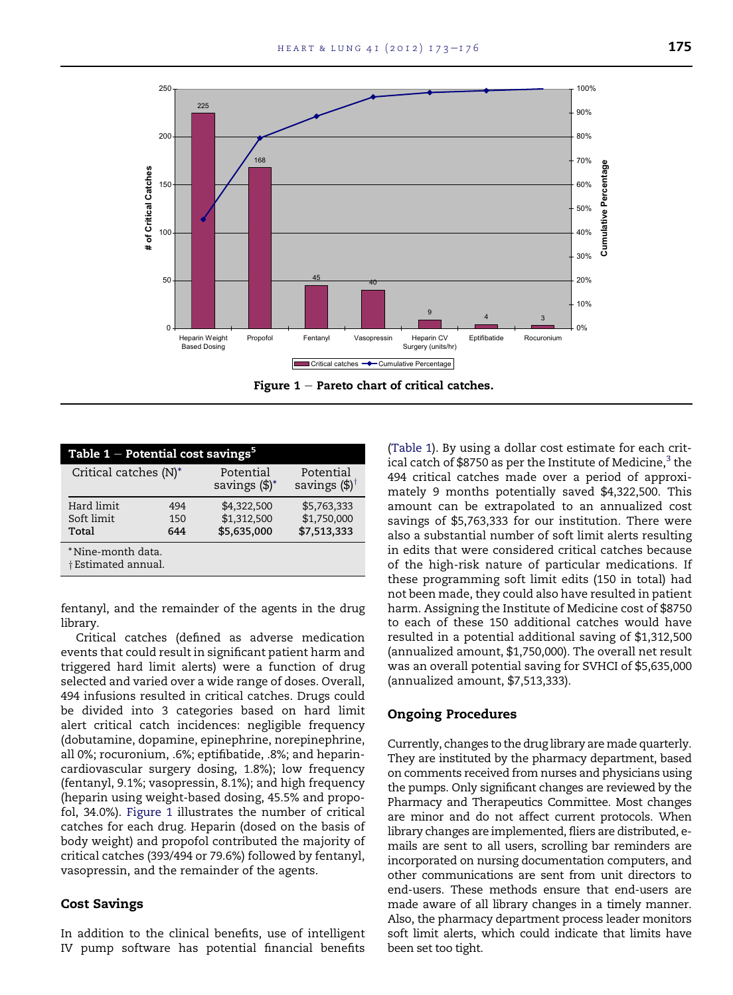

| Table 1 – Potential cost savings $^5$    |                   |                                           |                                           |
|------------------------------------------|-------------------|-------------------------------------------|-------------------------------------------|
| Critical catches (N)*                    |                   | Potential<br>savings $(\frac{4}{3})^*$    | Potential<br>savings $(\$\)^\dagger$      |
| Hard limit<br>Soft limit<br>Total        | 494<br>150<br>644 | \$4,322,500<br>\$1,312,500<br>\$5,635,000 | \$5,763,333<br>\$1,750,000<br>\$7,513,333 |
| *Nine-month data.<br>† Estimated annual. |                   |                                           |                                           |

fentanyl, and the remainder of the agents in the drug library.

Critical catches (defined as adverse medication events that could result in significant patient harm and triggered hard limit alerts) were a function of drug selected and varied over a wide range of doses. Overall, 494 infusions resulted in critical catches. Drugs could be divided into 3 categories based on hard limit alert critical catch incidences: negligible frequency (dobutamine, dopamine, epinephrine, norepinephrine, all 0%; rocuronium, .6%; eptifibatide, .8%; and heparincardiovascular surgery dosing, 1.8%); low frequency (fentanyl, 9.1%; vasopressin, 8.1%); and high frequency (heparin using weight-based dosing, 45.5% and propofol, 34.0%). Figure 1 illustrates the number of critical catches for each drug. Heparin (dosed on the basis of body weight) and propofol contributed the majority of critical catches (393/494 or 79.6%) followed by fentanyl, vasopressin, and the remainder of the agents.

#### Cost Savings

In addition to the clinical benefits, use of intelligent IV pump software has potential financial benefits

(Table 1). By using a dollar cost estimate for each critical catch of \$8750 as per the Institute of Medicine, $3$  the 494 critical catches made over a period of approximately 9 months potentially saved \$4,322,500. This amount can be extrapolated to an annualized cost savings of \$5,763,333 for our institution. There were also a substantial number of soft limit alerts resulting in edits that were considered critical catches because of the high-risk nature of particular medications. If these programming soft limit edits (150 in total) had not been made, they could also have resulted in patient harm. Assigning the Institute of Medicine cost of \$8750 to each of these 150 additional catches would have resulted in a potential additional saving of \$1,312,500 (annualized amount, \$1,750,000). The overall net result was an overall potential saving for SVHCI of \$5,635,000 (annualized amount, \$7,513,333).

#### Ongoing Procedures

Currently, changes to the drug library are made quarterly. They are instituted by the pharmacy department, based on comments received from nurses and physicians using the pumps. Only significant changes are reviewed by the Pharmacy and Therapeutics Committee. Most changes are minor and do not affect current protocols. When library changes are implemented, fliers are distributed, emails are sent to all users, scrolling bar reminders are incorporated on nursing documentation computers, and other communications are sent from unit directors to end-users. These methods ensure that end-users are made aware of all library changes in a timely manner. Also, the pharmacy department process leader monitors soft limit alerts, which could indicate that limits have been set too tight.